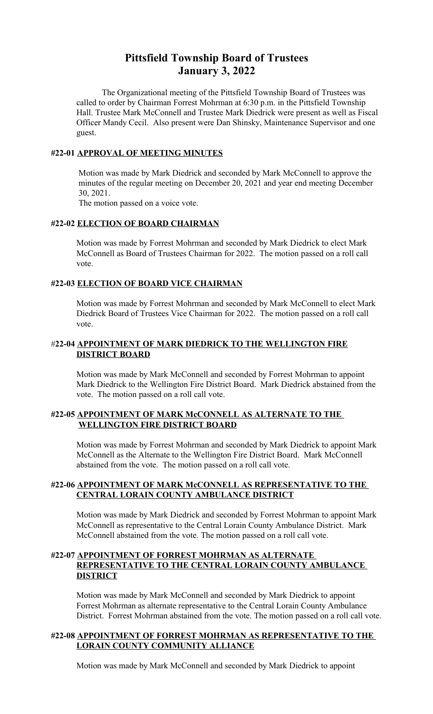# **Pittsfield Township Board of Trustees January 3, 2022**

The Organizational meeting of the Pittsfield Township Board of Trustees was called to order by Chairman Forrest Mohrman at 6:30 p.m. in the Pittsfield Township Hall. Trustee Mark McConnell and Trustee Mark Diedrick were present as well as Fiscal Officer Mandy Cecil. Also present were Dan Shinsky, Maintenance Supervisor and one guest.

#### **#22-01 APPROVAL OF MEETING MINUTES**

 Motion was made by Mark Diedrick and seconded by Mark McConnell to approve the minutes of the regular meeting on December 20, 2021 and year end meeting December 30, 2021.

The motion passed on a voice vote.

#### **#22-02 ELECTION OF BOARD CHAIRMAN**

Motion was made by Forrest Mohrman and seconded by Mark Diedrick to elect Mark McConnell as Board of Trustees Chairman for 2022. The motion passed on a roll call vote.

#### **#22-03 ELECTION OF BOARD VICE CHAIRMAN**

Motion was made by Forrest Mohrman and seconded by Mark McConnell to elect Mark Diedrick Board of Trustees Vice Chairman for 2022. The motion passed on a roll call vote.

# #**22-04 APPOINTMENT OF MARK DIEDRICK TO THE WELLINGTON FIRE DISTRICT BOARD**

Motion was made by Mark McConnell and seconded by Forrest Mohrman to appoint Mark Diedrick to the Wellington Fire District Board. Mark Diedrick abstained from the vote. The motion passed on a roll call vote.

# **#22-05 APPOINTMENT OF MARK McCONNELL AS ALTERNATE TO THE WELLINGTON FIRE DISTRICT BOARD**

Motion was made by Forrest Mohrman and seconded by Mark Diedrick to appoint Mark McConnell as the Alternate to the Wellington Fire District Board. Mark McConnell abstained from the vote. The motion passed on a roll call vote.

#### **#22-06 APPOINTMENT OF MARK McCONNELL AS REPRESENTATIVE TO THE CENTRAL LORAIN COUNTY AMBULANCE DISTRICT**

Motion was made by Mark Diedrick and seconded by Forrest Mohrman to appoint Mark McConnell as representative to the Central Lorain County Ambulance District. Mark McConnell abstained from the vote. The motion passed on a roll call vote.

#### **#22-07 APPOINTMENT OF FORREST MOHRMAN AS ALTERNATE REPRESENTATIVE TO THE CENTRAL LORAIN COUNTY AMBULANCE DISTRICT**

Motion was made by Mark McConnell and seconded by Mark Diedrick to appoint Forrest Mohrman as alternate representative to the Central Lorain County Ambulance District. Forrest Mohrman abstained from the vote. The motion passed on a roll call vote.

# **#22-08 APPOINTMENT OF FORREST MOHRMAN AS REPRESENTATIVE TO THE LORAIN COUNTY COMMUNITY ALLIANCE**

Motion was made by Mark McConnell and seconded by Mark Diedrick to appoint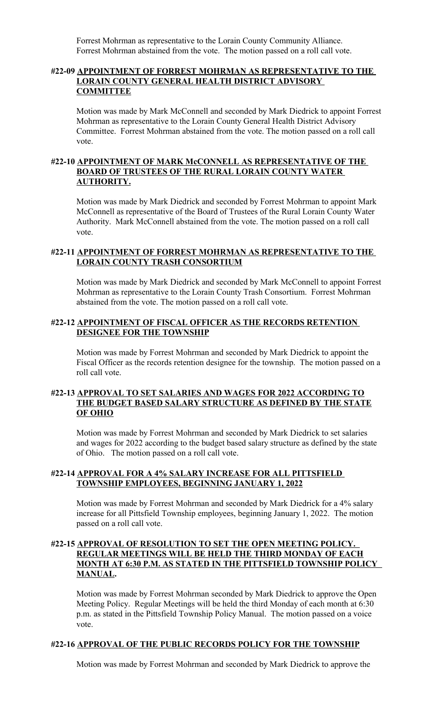Forrest Mohrman as representative to the Lorain County Community Alliance. Forrest Mohrman abstained from the vote. The motion passed on a roll call vote.

#### **#22-09 APPOINTMENT OF FORREST MOHRMAN AS REPRESENTATIVE TO THE LORAIN COUNTY GENERAL HEALTH DISTRICT ADVISORY COMMITTEE**

Motion was made by Mark McConnell and seconded by Mark Diedrick to appoint Forrest Mohrman as representative to the Lorain County General Health District Advisory Committee. Forrest Mohrman abstained from the vote. The motion passed on a roll call vote.

#### **#22-10 APPOINTMENT OF MARK McCONNELL AS REPRESENTATIVE OF THE BOARD OF TRUSTEES OF THE RURAL LORAIN COUNTY WATER AUTHORITY.**

Motion was made by Mark Diedrick and seconded by Forrest Mohrman to appoint Mark McConnell as representative of the Board of Trustees of the Rural Lorain County Water Authority. Mark McConnell abstained from the vote. The motion passed on a roll call vote.

# **#22-11 APPOINTMENT OF FORREST MOHRMAN AS REPRESENTATIVE TO THE LORAIN COUNTY TRASH CONSORTIUM**

Motion was made by Mark Diedrick and seconded by Mark McConnell to appoint Forrest Mohrman as representative to the Lorain County Trash Consortium. Forrest Mohrman abstained from the vote. The motion passed on a roll call vote.

#### **#22-12 APPOINTMENT OF FISCAL OFFICER AS THE RECORDS RETENTION DESIGNEE FOR THE TOWNSHIP**

Motion was made by Forrest Mohrman and seconded by Mark Diedrick to appoint the Fiscal Officer as the records retention designee for the township. The motion passed on a roll call vote.

#### **#22-13 APPROVAL TO SET SALARIES AND WAGES FOR 2022 ACCORDING TO THE BUDGET BASED SALARY STRUCTURE AS DEFINED BY THE STATE OF OHIO**

Motion was made by Forrest Mohrman and seconded by Mark Diedrick to set salaries and wages for 2022 according to the budget based salary structure as defined by the state of Ohio. The motion passed on a roll call vote.

#### **#22-14 APPROVAL FOR A 4% SALARY INCREASE FOR ALL PITTSFIELD TOWNSHIP EMPLOYEES, BEGINNING JANUARY 1, 2022**

Motion was made by Forrest Mohrman and seconded by Mark Diedrick for a 4% salary increase for all Pittsfield Township employees, beginning January 1, 2022. The motion passed on a roll call vote.

#### **#22-15 APPROVAL OF RESOLUTION TO SET THE OPEN MEETING POLICY. REGULAR MEETINGS WILL BE HELD THE THIRD MONDAY OF EACH MONTH AT 6:30 P.M. AS STATED IN THE PITTSFIELD TOWNSHIP POLICY MANUAL.**

Motion was made by Forrest Mohrman seconded by Mark Diedrick to approve the Open Meeting Policy. Regular Meetings will be held the third Monday of each month at 6:30 p.m. as stated in the Pittsfield Township Policy Manual. The motion passed on a voice vote.

# **#22-16 APPROVAL OF THE PUBLIC RECORDS POLICY FOR THE TOWNSHIP**

Motion was made by Forrest Mohrman and seconded by Mark Diedrick to approve the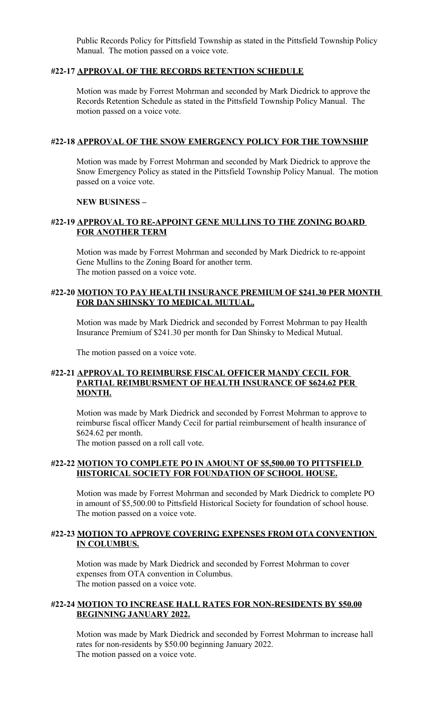Public Records Policy for Pittsfield Township as stated in the Pittsfield Township Policy Manual. The motion passed on a voice vote.

#### **#22-17 APPROVAL OF THE RECORDS RETENTION SCHEDULE**

Motion was made by Forrest Mohrman and seconded by Mark Diedrick to approve the Records Retention Schedule as stated in the Pittsfield Township Policy Manual. The motion passed on a voice vote.

#### **#22-18 APPROVAL OF THE SNOW EMERGENCY POLICY FOR THE TOWNSHIP**

Motion was made by Forrest Mohrman and seconded by Mark Diedrick to approve the Snow Emergency Policy as stated in the Pittsfield Township Policy Manual. The motion passed on a voice vote.

#### **NEW BUSINESS –**

# **#22-19 APPROVAL TO RE-APPOINT GENE MULLINS TO THE ZONING BOARD FOR ANOTHER TERM**

Motion was made by Forrest Mohrman and seconded by Mark Diedrick to re-appoint Gene Mullins to the Zoning Board for another term. The motion passed on a voice vote.

#### **#22-20 MOTION TO PAY HEALTH INSURANCE PREMIUM OF \$241.30 PER MONTH FOR DAN SHINSKY TO MEDICAL MUTUAL.**

Motion was made by Mark Diedrick and seconded by Forrest Mohrman to pay Health Insurance Premium of \$241.30 per month for Dan Shinsky to Medical Mutual.

The motion passed on a voice vote.

# **#22-21 APPROVAL TO REIMBURSE FISCAL OFFICER MANDY CECIL FOR PARTIAL REIMBURSMENT OF HEALTH INSURANCE OF \$624.62 PER MONTH.**

Motion was made by Mark Diedrick and seconded by Forrest Mohrman to approve to reimburse fiscal officer Mandy Cecil for partial reimbursement of health insurance of \$624.62 per month.

The motion passed on a roll call vote.

#### **#22-22 MOTION TO COMPLETE PO IN AMOUNT OF \$5,500.00 TO PITTSFIELD HISTORICAL SOCIETY FOR FOUNDATION OF SCHOOL HOUSE.**

Motion was made by Forrest Mohrman and seconded by Mark Diedrick to complete PO in amount of \$5,500.00 to Pittsfield Historical Society for foundation of school house. The motion passed on a voice vote.

# **#22-23 MOTION TO APPROVE COVERING EXPENSES FROM OTA CONVENTION IN COLUMBUS.**

Motion was made by Mark Diedrick and seconded by Forrest Mohrman to cover expenses from OTA convention in Columbus. The motion passed on a voice vote.

#### **#22-24 MOTION TO INCREASE HALL RATES FOR NON-RESIDENTS BY \$50.00 BEGINNING JANUARY 2022.**

Motion was made by Mark Diedrick and seconded by Forrest Mohrman to increase hall rates for non-residents by \$50.00 beginning January 2022. The motion passed on a voice vote.